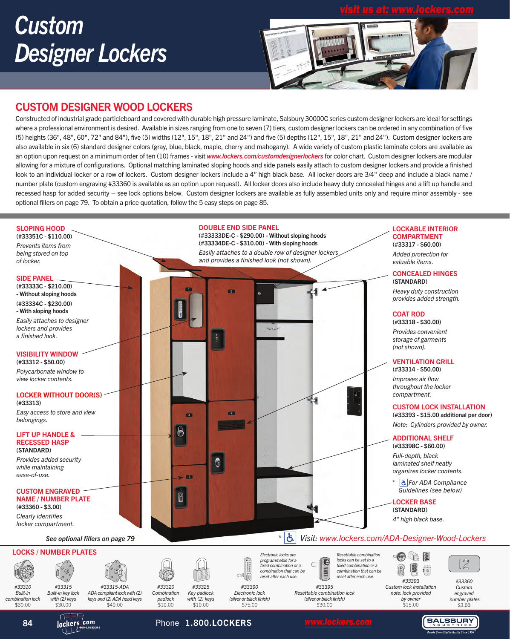# *Custom Designer Lockers*





#### CUSTOM DESIGNER WOOD LOCKERS

Constructed of industrial grade particleboard and covered with durable high pressure laminate, Salsbury 30000C series custom designer lockers are ideal for settings where a professional environment is desired. Available in sizes ranging from one to seven (7) tiers, custom designer lockers can be ordered in any combination of five (5) heights (36", 48", 60", 72" and 84"), five (5) widths (12", 15", 18", 21" and 24") and five (5) depths (12", 15", 18", 21" and 24"). Custom designer lockers are also available in six (6) standard designer colors (gray, blue, black, maple, cherry and mahogany). A wide variety of custom plastic laminate colors are available as an option upon request on a minimum order of ten (10) frames - visit *www.lockers.com/customdesignerlockers* for color chart. Custom designer lockers are modular allowing for a mixture of configurations. Optional matching laminated sloping hoods and side panels easily attach to custom designer lockers and provide a finished look to an individual locker or a row of lockers. Custom designer lockers include a 4" high black base. All locker doors are 3/4" deep and include a black name / number plate (custom engraving #33360 is available as an option upon request). All locker doors also include heavy duty concealed hinges and a lift up handle and recessed hasp for added security – see lock options below. Custom designer lockers are available as fully assembled units only and require minor assembly - see optional fillers on page 79. To obtain a price quotation, follow the 5 easy steps on page 85.